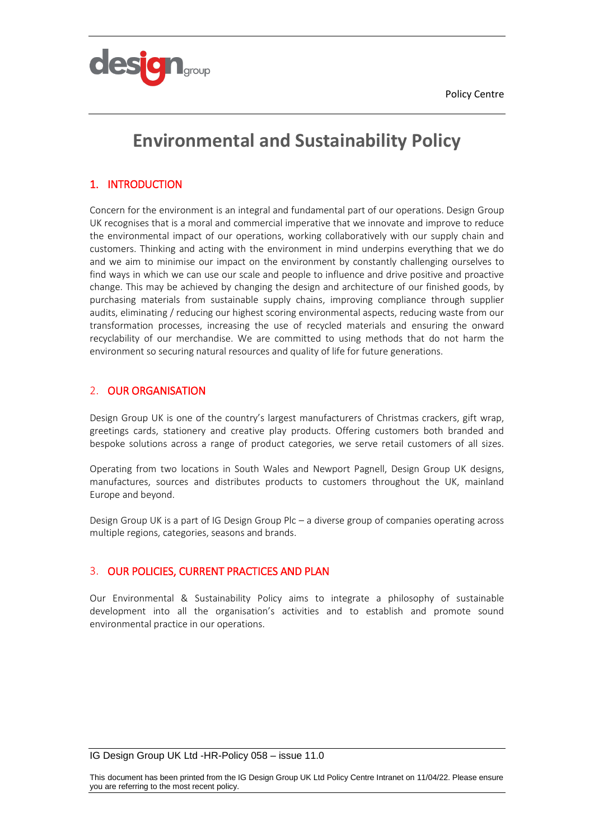

# **Environmental and Sustainability Policy**

# 1. INTRODUCTION

Concern for the environment is an integral and fundamental part of our operations. Design Group UK recognises that is a moral and commercial imperative that we innovate and improve to reduce the environmental impact of our operations, working collaboratively with our supply chain and customers. Thinking and acting with the environment in mind underpins everything that we do and we aim to minimise our impact on the environment by constantly challenging ourselves to find ways in which we can use our scale and people to influence and drive positive and proactive change. This may be achieved by changing the design and architecture of our finished goods, by purchasing materials from sustainable supply chains, improving compliance through supplier audits, eliminating / reducing our highest scoring environmental aspects, reducing waste from our transformation processes, increasing the use of recycled materials and ensuring the onward recyclability of our merchandise. We are committed to using methods that do not harm the environment so securing natural resources and quality of life for future generations.

## 2. OUR ORGANISATION

Design Group UK is one of the country's largest manufacturers of Christmas crackers, gift wrap, greetings cards, stationery and creative play products. Offering customers both branded and bespoke solutions across a range of product categories, we serve retail customers of all sizes.

Operating from two locations in South Wales and Newport Pagnell, Design Group UK designs, manufactures, sources and distributes products to customers throughout the UK, mainland Europe and beyond.

Design Group UK is a part of IG Design Group Plc – a diverse group of companies operating across multiple regions, categories, seasons and brands.

# 3. OUR POLICIES, CURRENT PRACTICES AND PLAN

Our Environmental & Sustainability Policy aims to integrate a philosophy of sustainable development into all the organisation's activities and to establish and promote sound environmental practice in our operations.

IG Design Group UK Ltd -HR-Policy 058 – issue 11.0

This document has been printed from the IG Design Group UK Ltd Policy Centre Intranet on 11/04/22. Please ensure you are referring to the most recent policy.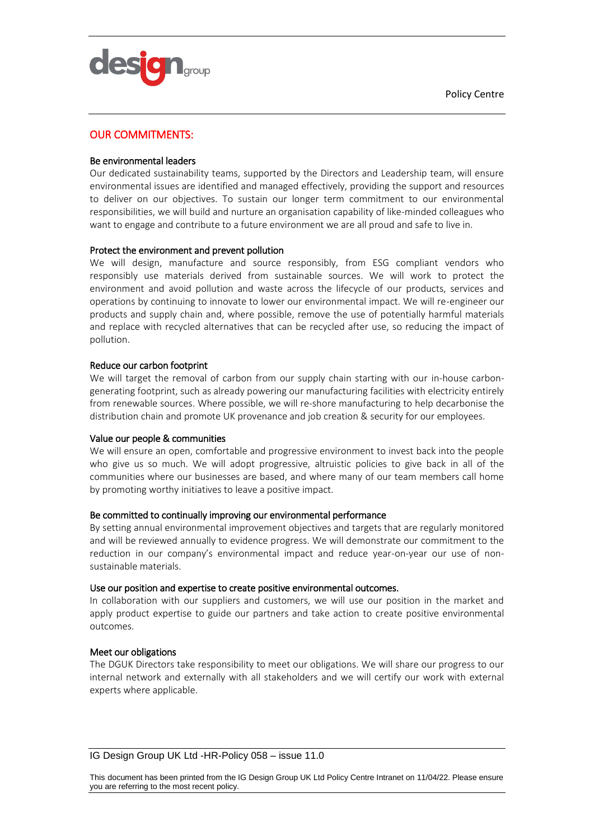



## OUR COMMITMENTS:

## Be environmental leaders

Our dedicated sustainability teams, supported by the Directors and Leadership team, will ensure environmental issues are identified and managed effectively, providing the support and resources to deliver on our objectives. To sustain our longer term commitment to our environmental responsibilities, we will build and nurture an organisation capability of like-minded colleagues who want to engage and contribute to a future environment we are all proud and safe to live in.

## Protect the environment and prevent pollution

We will design, manufacture and source responsibly, from ESG compliant vendors who responsibly use materials derived from sustainable sources. We will work to protect the environment and avoid pollution and waste across the lifecycle of our products, services and operations by continuing to innovate to lower our environmental impact. We will re-engineer our products and supply chain and, where possible, remove the use of potentially harmful materials and replace with recycled alternatives that can be recycled after use, so reducing the impact of pollution.

## Reduce our carbon footprint

We will target the removal of carbon from our supply chain starting with our in-house carbongenerating footprint, such as already powering our manufacturing facilities with electricity entirely from renewable sources. Where possible, we will re-shore manufacturing to help decarbonise the distribution chain and promote UK provenance and job creation & security for our employees.

## Value our people & communities

We will ensure an open, comfortable and progressive environment to invest back into the people who give us so much. We will adopt progressive, altruistic policies to give back in all of the communities where our businesses are based, and where many of our team members call home by promoting worthy initiatives to leave a positive impact.

## Be committed to continually improving our environmental performance

By setting annual environmental improvement objectives and targets that are regularly monitored and will be reviewed annually to evidence progress. We will demonstrate our commitment to the reduction in our company's environmental impact and reduce year-on-year our use of nonsustainable materials.

## Use our position and expertise to create positive environmental outcomes.

In collaboration with our suppliers and customers, we will use our position in the market and apply product expertise to guide our partners and take action to create positive environmental outcomes.

## Meet our obligations

The DGUK Directors take responsibility to meet our obligations. We will share our progress to our internal network and externally with all stakeholders and we will certify our work with external experts where applicable.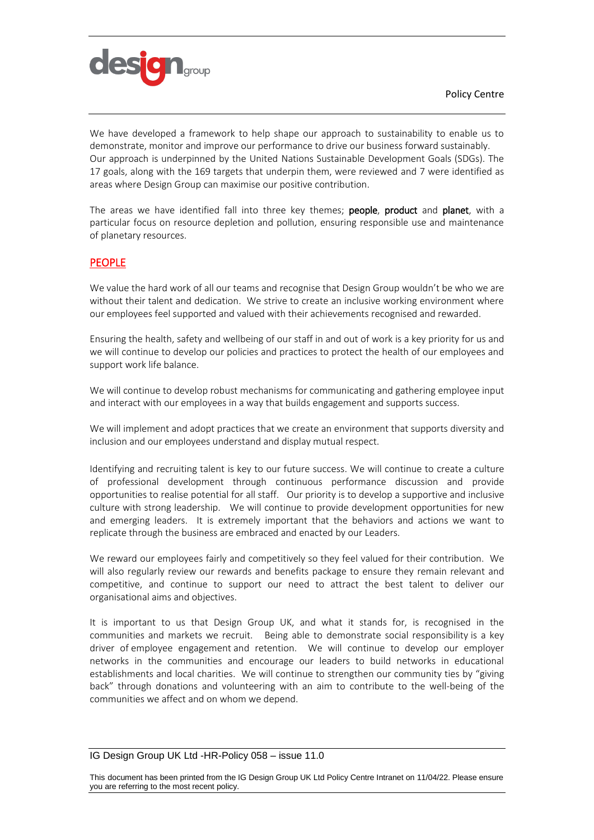

We have developed a framework to help shape our approach to sustainability to enable us to demonstrate, monitor and improve our performance to drive our business forward sustainably. Our approach is underpinned by the United Nations Sustainable Development Goals (SDGs). The 17 goals, along with the 169 targets that underpin them, were reviewed and 7 were identified as areas where Design Group can maximise our positive contribution.

The areas we have identified fall into three key themes; people, product and planet, with a particular focus on resource depletion and pollution, ensuring responsible use and maintenance of planetary resources.

# PEOPLE

We value the hard work of all our teams and recognise that Design Group wouldn't be who we are without their talent and dedication. We strive to create an inclusive working environment where our employees feel supported and valued with their achievements recognised and rewarded.

Ensuring the health, safety and wellbeing of our staff in and out of work is a key priority for us and we will continue to develop our policies and practices to protect the health of our employees and support work life balance.

We will continue to develop robust mechanisms for communicating and gathering employee input and interact with our employees in a way that builds engagement and supports success.

We will implement and adopt practices that we create an environment that supports diversity and inclusion and our employees understand and display mutual respect.

Identifying and recruiting talent is key to our future success. We will continue to create a culture of professional development through continuous performance discussion and provide opportunities to realise potential for all staff. Our priority is to develop a supportive and inclusive culture with strong leadership. We will continue to provide development opportunities for new and emerging leaders. It is extremely important that the behaviors and actions we want to replicate through the business are embraced and enacted by our Leaders.

We reward our employees fairly and competitively so they feel valued for their contribution. We will also regularly review our rewards and benefits package to ensure they remain relevant and competitive, and continue to support our need to attract the best talent to deliver our organisational aims and objectives.

It is important to us that Design Group UK, and what it stands for, is recognised in the communities and markets we recruit. Being able to demonstrate social responsibility is a key driver of employee engagement and retention. We will continue to develop our employer networks in the communities and encourage our leaders to build networks in educational establishments and local charities. We will continue to strengthen our community ties by "giving back" through donations and volunteering with an aim to contribute to the well-being of the communities we affect and on whom we depend.

## IG Design Group UK Ltd -HR-Policy 058 – issue 11.0

This document has been printed from the IG Design Group UK Ltd Policy Centre Intranet on 11/04/22. Please ensure you are referring to the most recent policy.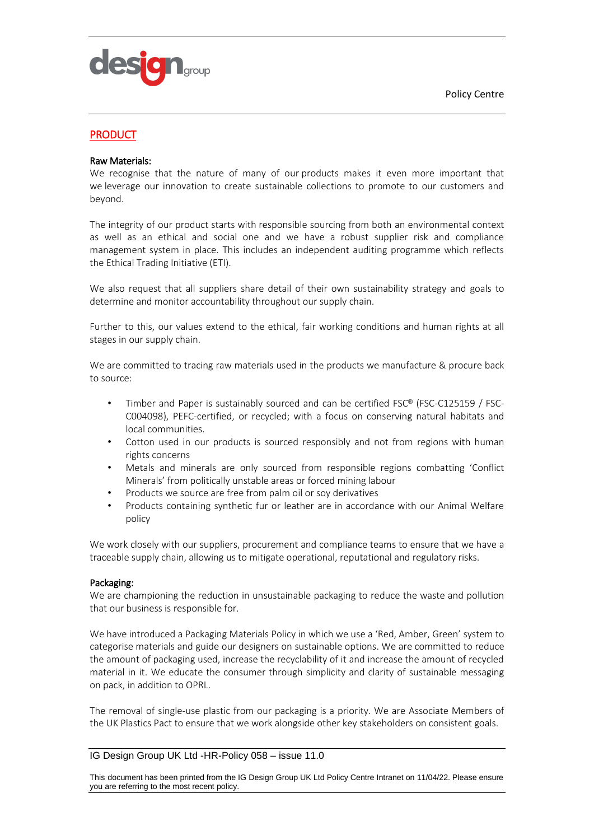

# **PRODUCT**

## Raw Materials:

We recognise that the nature of many of our products makes it even more important that we leverage our innovation to create sustainable collections to promote to our customers and beyond.

The integrity of our product starts with responsible sourcing from both an environmental context as well as an ethical and social one and we have a robust supplier risk and compliance management system in place. This includes an independent auditing programme which reflects the [Ethical Trading Initiative](http://www.ethicaltrade.org/) (ETI).

We also request that all suppliers share detail of their own sustainability strategy and goals to determine and monitor accountability throughout our supply chain.

Further to this, our values extend to the ethical, fair working conditions and human rights at all stages in our supply chain.

We are committed to tracing raw materials used in the products we manufacture & procure back to source:

- Timber and Paper is sustainably sourced and can be certified FSC® (FSC-C125159 / FSC-C004098), PEFC-certified, or recycled; with a focus on conserving natural habitats and local communities.
- Cotton used in our products is sourced responsibly and not from regions with human rights concerns
- Metals and minerals are only sourced from responsible regions combatting 'Conflict Minerals' from politically unstable areas or forced mining labour
- Products we source are free from palm oil or soy derivatives
- Products containing synthetic fur or leather are in accordance with our Animal Welfare policy

We work closely with our suppliers, procurement and compliance teams to ensure that we have a traceable supply chain, allowing us to mitigate operational, reputational and regulatory risks.

## Packaging:

We are championing the reduction in unsustainable packaging to reduce the waste and pollution that our business is responsible for.

We have introduced a Packaging Materials Policy in which we use a 'Red, Amber, Green' system to categorise materials and guide our designers on sustainable options. We are committed to reduce the amount of packaging used, increase the recyclability of it and increase the amount of recycled material in it. We educate the consumer through simplicity and clarity of sustainable messaging on pack, in addition to OPRL.

The removal of single-use plastic from our packaging is a priority. We are Associate Members of the UK Plastics Pact to ensure that we work alongside other key stakeholders on consistent goals.

## IG Design Group UK Ltd -HR-Policy 058 – issue 11.0

This document has been printed from the IG Design Group UK Ltd Policy Centre Intranet on 11/04/22. Please ensure you are referring to the most recent policy.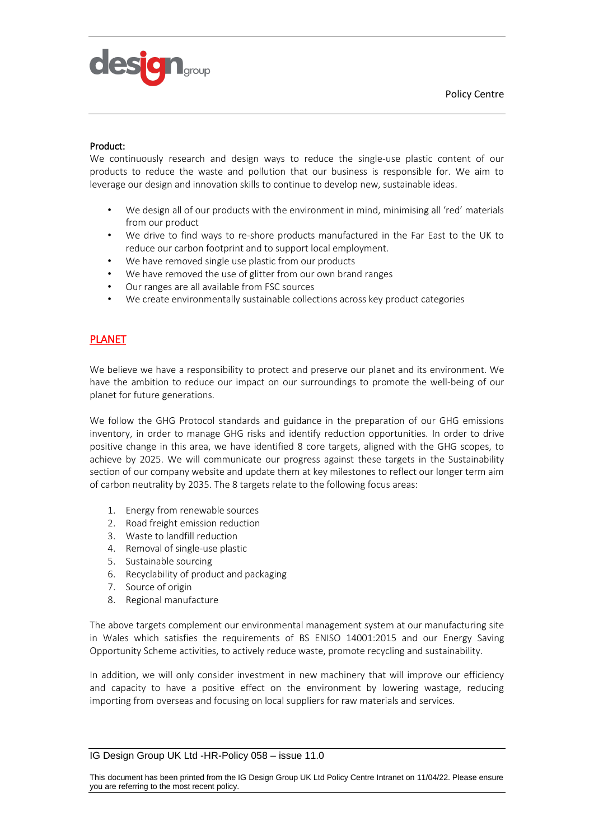

## Product:

We continuously research and design ways to reduce the single-use plastic content of our products to reduce the waste and pollution that our business is responsible for. We aim to leverage our design and innovation skills to continue to develop new, sustainable ideas.

- We design all of our products with the environment in mind, minimising all 'red' materials from our product
- We drive to find ways to re-shore products manufactured in the Far East to the UK to reduce our carbon footprint and to support local employment.
- We have removed single use plastic from our products
- We have removed the use of glitter from our own brand ranges
- Our ranges are all available from FSC sources
- We create environmentally sustainable collections across key product categories

# PLANET

We believe we have a responsibility to protect and preserve our planet and its environment. We have the ambition to reduce our impact on our surroundings to promote the well-being of our planet for future generations.

We follow the GHG Protocol standards and guidance in the preparation of our GHG emissions inventory, in order to manage GHG risks and identify reduction opportunities. In order to drive positive change in this area, we have identified 8 core targets, aligned with the GHG scopes, to achieve by 2025. We will communicate our progress against these targets in the Sustainability section of our company website and update them at key milestones to reflect our longer term aim of carbon neutrality by 2035. The 8 targets relate to the following focus areas:

- 1. Energy from renewable sources
- 2. Road freight emission reduction
- 3. Waste to landfill reduction
- 4. Removal of single-use plastic
- 5. Sustainable sourcing
- 6. Recyclability of product and packaging
- 7. Source of origin
- 8. Regional manufacture

The above targets complement our environmental management system at our manufacturing site in Wales which satisfies the requirements of BS ENISO 14001:2015 and our Energy Saving Opportunity Scheme activities, to actively reduce waste, promote recycling and sustainability.

In addition, we will only consider investment in new machinery that will improve our efficiency and capacity to have a positive effect on the environment by lowering wastage, reducing importing from overseas and focusing on local suppliers for raw materials and services.

## IG Design Group UK Ltd -HR-Policy 058 – issue 11.0